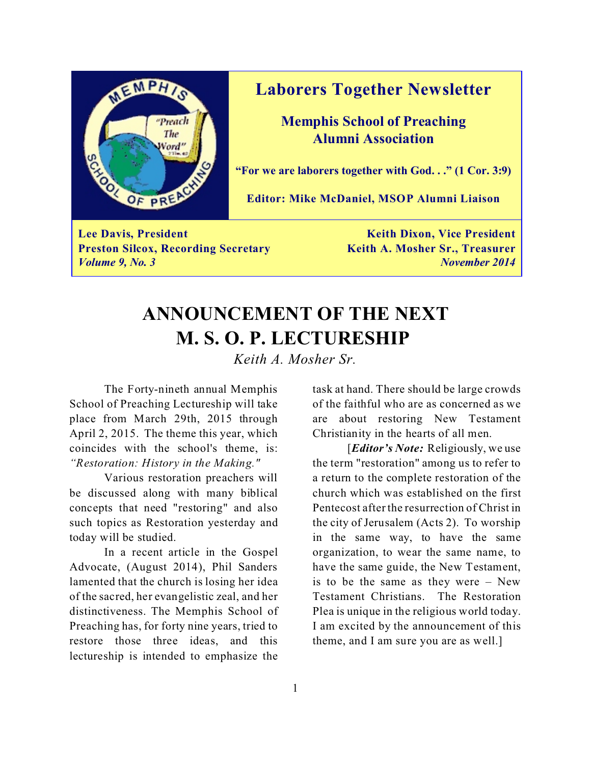

### **Laborers Together Newsletter**

**Memphis School of Preaching Alumni Association**

**"For we are laborers together with God. . ." (1 Cor. 3:9)**

**Editor: Mike McDaniel, MSOP Alumni Liaison**

**Lee Davis, President Keith Dixon, Vice President Preston Silcox, Recording Secretary <b>Keith A. Mosher Sr., Treasurer** *Volume 9, No. 3 November 2014*

## **ANNOUNCEMENT OF THE NEXT M. S. O. P. LECTURESHIP**

*Keith A. Mosher Sr.*

The Forty-nineth annual Memphis School of Preaching Lectureship will take place from March 29th, 2015 through April 2, 2015. The theme this year, which coincides with the school's theme, is: *"Restoration: History in the Making."*

Various restoration preachers will be discussed along with many biblical concepts that need "restoring" and also such topics as Restoration yesterday and today will be studied.

In a recent article in the Gospel Advocate, (August 2014), Phil Sanders lamented that the church is losing her idea of the sacred, her evangelistic zeal, and her distinctiveness. The Memphis School of Preaching has, for forty nine years, tried to restore those three ideas, and this lectureship is intended to emphasize the

task at hand. There should be large crowds of the faithful who are as concerned as we are about restoring New Testament Christianity in the hearts of all men.

[*Editor's Note:* Religiously, we use the term "restoration" among us to refer to a return to the complete restoration of the church which was established on the first Pentecost after the resurrection of Christ in the city of Jerusalem (Acts 2). To worship in the same way, to have the same organization, to wear the same name, to have the same guide, the New Testament, is to be the same as they were – New Testament Christians. The Restoration Plea is unique in the religious world today. I am excited by the announcement of this theme, and I am sure you are as well.]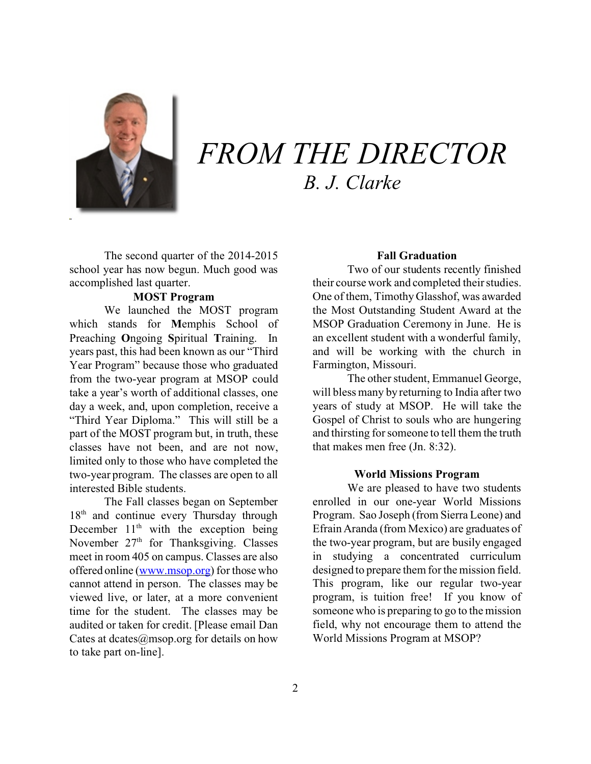

# *FROM THE DIRECTOR B. J. Clarke*

The second quarter of the 2014-2015 school year has now begun. Much good was accomplished last quarter.

### **MOST Program**

We launched the MOST program which stands for **M**emphis School of Preaching **O**ngoing **S**piritual **T**raining. In years past, this had been known as our "Third Year Program" because those who graduated from the two-year program at MSOP could take a year's worth of additional classes, one day a week, and, upon completion, receive a "Third Year Diploma." This will still be a part of the MOST program but, in truth, these classes have not been, and are not now, limited only to those who have completed the two-year program. The classes are open to all interested Bible students.

The Fall classes began on September 18<sup>th</sup> and continue every Thursday through December  $11<sup>th</sup>$  with the exception being November 27<sup>th</sup> for Thanksgiving. Classes meet in room 405 on campus. Classes are also offered online [\(www.msop.org](http://www.msop.org))) for those who cannot attend in person. The classes may be viewed live, or later, at a more convenient time for the student. The classes may be audited or taken for credit. [Please email Dan Cates at dcates $@$ msop.org for details on how to take part on-line].

### **Fall Graduation**

Two of our students recently finished their course work and completed their studies. One of them, Timothy Glasshof, was awarded the Most Outstanding Student Award at the MSOP Graduation Ceremony in June. He is an excellent student with a wonderful family, and will be working with the church in Farmington, Missouri.

The other student, Emmanuel George, will bless many by returning to India after two years of study at MSOP. He will take the Gospel of Christ to souls who are hungering and thirsting for someone to tell them the truth that makes men free (Jn. 8:32).

#### **World Missions Program**

We are pleased to have two students enrolled in our one-year World Missions Program. Sao Joseph (from Sierra Leone) and Efrain Aranda (from Mexico) are graduates of the two-year program, but are busily engaged in studying a concentrated curriculum designed to prepare them for the mission field. This program, like our regular two-year program, is tuition free! If you know of someone who is preparing to go to the mission field, why not encourage them to attend the World Missions Program at MSOP?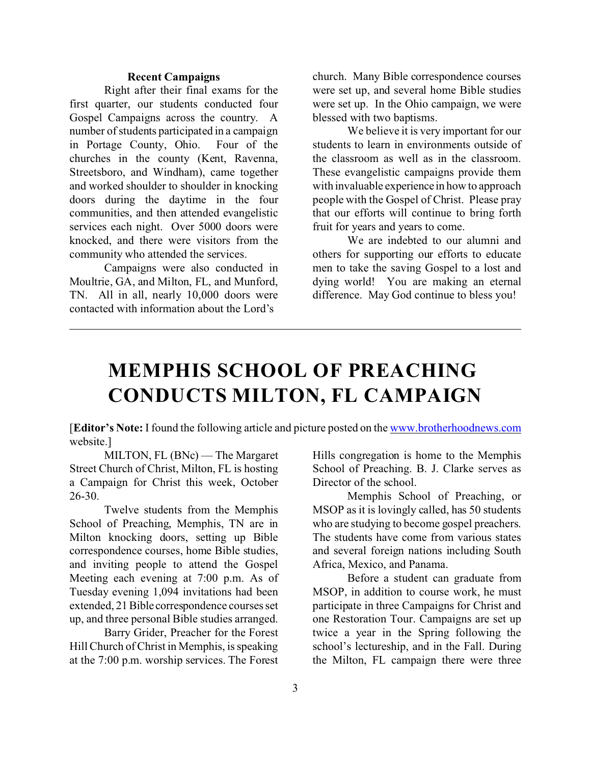#### **Recent Campaigns**

Right after their final exams for the first quarter, our students conducted four Gospel Campaigns across the country. A number of students participated in a campaign in Portage County, Ohio. Four of the churches in the county (Kent, Ravenna, Streetsboro, and Windham), came together and worked shoulder to shoulder in knocking doors during the daytime in the four communities, and then attended evangelistic services each night. Over 5000 doors were knocked, and there were visitors from the community who attended the services.

Campaigns were also conducted in Moultrie, GA, and Milton, FL, and Munford, TN. All in all, nearly 10,000 doors were contacted with information about the Lord's

church. Many Bible correspondence courses were set up, and several home Bible studies were set up. In the Ohio campaign, we were blessed with two baptisms.

We believe it is very important for our students to learn in environments outside of the classroom as well as in the classroom. These evangelistic campaigns provide them with invaluable experience in how to approach people with the Gospel of Christ. Please pray that our efforts will continue to bring forth fruit for years and years to come.

We are indebted to our alumni and others for supporting our efforts to educate men to take the saving Gospel to a lost and dying world! You are making an eternal difference. May God continue to bless you!

## **MEMPHIS SCHOOL OF PREACHING CONDUCTS MILTON, FL CAMPAIGN**

[**Editor's Note:** I found the following article and picture posted on the [www.brotherhoodnews.com](http://www.brotherhoodnews.com) website.]

MILTON, FL (BNc) — The Margaret Street Church of Christ, Milton, FL is hosting a Campaign for Christ this week, October 26-30.

Twelve students from the Memphis School of Preaching, Memphis, TN are in Milton knocking doors, setting up Bible correspondence courses, home Bible studies, and inviting people to attend the Gospel Meeting each evening at 7:00 p.m. As of Tuesday evening 1,094 invitations had been extended, 21 Bible correspondence courses set up, and three personal Bible studies arranged.

Barry Grider, Preacher for the Forest Hill Church of Christ in Memphis, is speaking at the 7:00 p.m. worship services. The Forest Hills congregation is home to the Memphis School of Preaching. B. J. Clarke serves as Director of the school.

Memphis School of Preaching, or MSOP as it is lovingly called, has 50 students who are studying to become gospel preachers. The students have come from various states and several foreign nations including South Africa, Mexico, and Panama.

Before a student can graduate from MSOP, in addition to course work, he must participate in three Campaigns for Christ and one Restoration Tour. Campaigns are set up twice a year in the Spring following the school's lectureship, and in the Fall. During the Milton, FL campaign there were three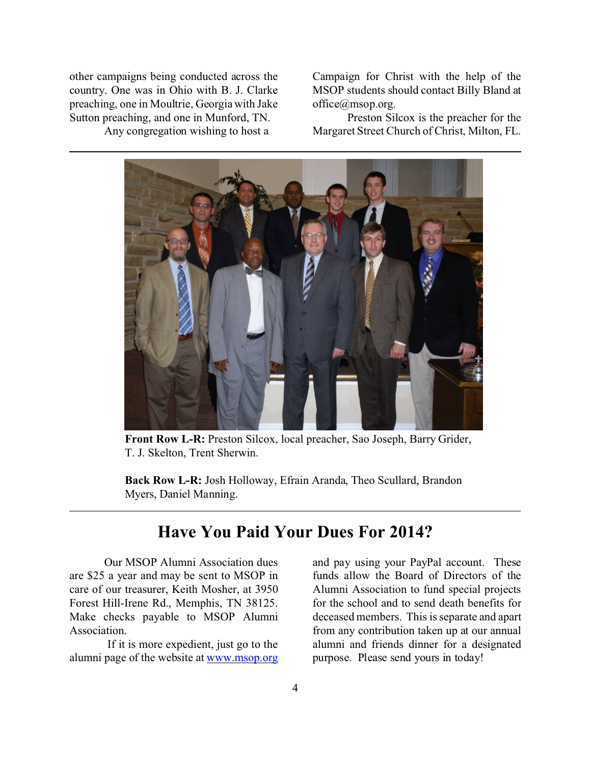other campaigns being conducted across the country. One was in Ohio with B. J. Clarke preaching, one in Moultrie, Georgia with Jake Sutton preaching, and one in Munford, TN.

Any congregation wishing to host a

Campaign for Christ with the help of the MSOP students should contact Billy Bland at office@msop.org.

Preston Silcox is the preacher for the Margaret Street Church of Christ, Milton, FL.



**Front Row L-R:** Preston Silcox, local preacher, Sao Joseph, Barry Grider, T. J. Skelton, Trent Sherwin.

**Back Row L-R:** Josh Holloway, Efrain Aranda, Theo Scullard, Brandon Myers, Daniel Manning.

### **Have You Paid Your Dues For 2014?**

Our MSOP Alumni Association dues are \$25 a year and may be sent to MSOP in care of our treasurer, Keith Mosher, at 3950 Forest Hill-Irene Rd., Memphis, TN 38125. Make checks payable to MSOP Alumni Association.

 If it is more expedient, just go to the alumni page of the website at [www.msop.org](http://www.msop.org) and pay using your PayPal account. These funds allow the Board of Directors of the Alumni Association to fund special projects for the school and to send death benefits for deceased members. This is separate and apart from any contribution taken up at our annual alumni and friends dinner for a designated purpose. Please send yours in today!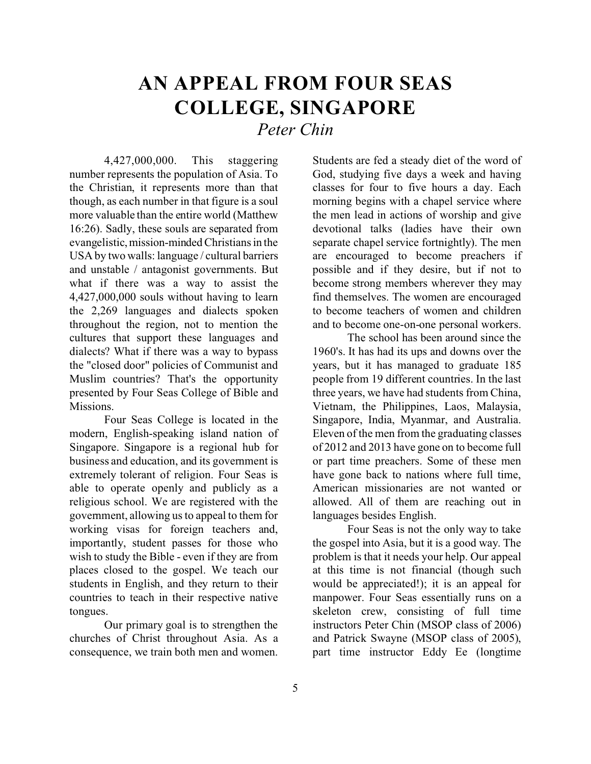## **AN APPEAL FROM FOUR SEAS COLLEGE, SINGAPORE** *Peter Chin*

4,427,000,000. This staggering number represents the population of Asia. To the Christian, it represents more than that though, as each number in that figure is a soul more valuable than the entire world (Matthew 16:26). Sadly, these souls are separated from evangelistic, mission-minded Christians in the USA by two walls: language / cultural barriers and unstable / antagonist governments. But what if there was a way to assist the 4,427,000,000 souls without having to learn the 2,269 languages and dialects spoken throughout the region, not to mention the cultures that support these languages and dialects? What if there was a way to bypass the "closed door" policies of Communist and Muslim countries? That's the opportunity presented by Four Seas College of Bible and Missions.

Four Seas College is located in the modern, English-speaking island nation of Singapore. Singapore is a regional hub for business and education, and its government is extremely tolerant of religion. Four Seas is able to operate openly and publicly as a religious school. We are registered with the government, allowing us to appeal to them for working visas for foreign teachers and, importantly, student passes for those who wish to study the Bible - even if they are from places closed to the gospel. We teach our students in English, and they return to their countries to teach in their respective native tongues.

Our primary goal is to strengthen the churches of Christ throughout Asia. As a consequence, we train both men and women.

Students are fed a steady diet of the word of God, studying five days a week and having classes for four to five hours a day. Each morning begins with a chapel service where the men lead in actions of worship and give devotional talks (ladies have their own separate chapel service fortnightly). The men are encouraged to become preachers if possible and if they desire, but if not to become strong members wherever they may find themselves. The women are encouraged to become teachers of women and children and to become one-on-one personal workers.

The school has been around since the 1960's. It has had its ups and downs over the years, but it has managed to graduate 185 people from 19 different countries. In the last three years, we have had students from China, Vietnam, the Philippines, Laos, Malaysia, Singapore, India, Myanmar, and Australia. Eleven of the men from the graduating classes of 2012 and 2013 have gone on to become full or part time preachers. Some of these men have gone back to nations where full time, American missionaries are not wanted or allowed. All of them are reaching out in languages besides English.

Four Seas is not the only way to take the gospel into Asia, but it is a good way. The problem is that it needs your help. Our appeal at this time is not financial (though such would be appreciated!); it is an appeal for manpower. Four Seas essentially runs on a skeleton crew, consisting of full time instructors Peter Chin (MSOP class of 2006) and Patrick Swayne (MSOP class of 2005), part time instructor Eddy Ee (longtime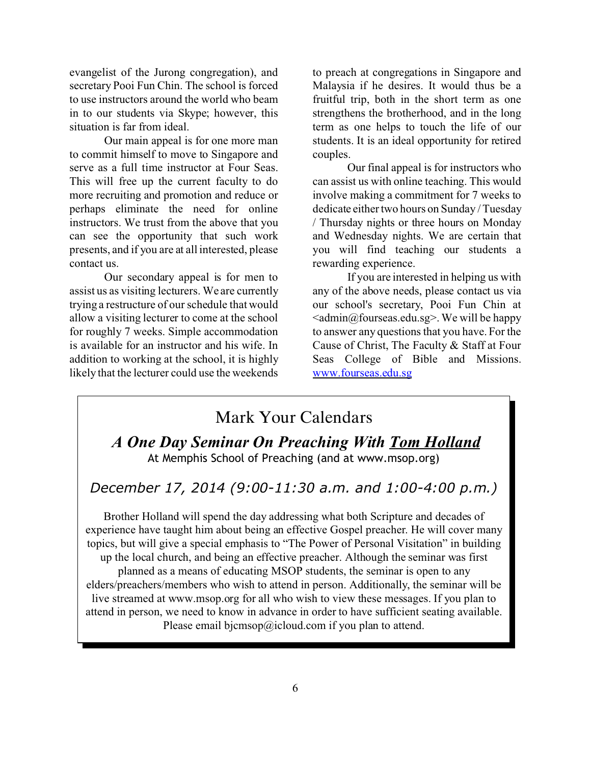evangelist of the Jurong congregation), and secretary Pooi Fun Chin. The school is forced to use instructors around the world who beam in to our students via Skype; however, this situation is far from ideal.

Our main appeal is for one more man to commit himself to move to Singapore and serve as a full time instructor at Four Seas. This will free up the current faculty to do more recruiting and promotion and reduce or perhaps eliminate the need for online instructors. We trust from the above that you can see the opportunity that such work presents, and if you are at all interested, please contact us.

Our secondary appeal is for men to assist us as visiting lecturers. We are currently trying a restructure of our schedule that would allow a visiting lecturer to come at the school for roughly 7 weeks. Simple accommodation is available for an instructor and his wife. In addition to working at the school, it is highly likely that the lecturer could use the weekends

to preach at congregations in Singapore and Malaysia if he desires. It would thus be a fruitful trip, both in the short term as one strengthens the brotherhood, and in the long term as one helps to touch the life of our students. It is an ideal opportunity for retired couples.

Our final appeal is for instructors who can assist us with online teaching. This would involve making a commitment for 7 weeks to dedicate either two hours on Sunday / Tuesday / Thursday nights or three hours on Monday and Wednesday nights. We are certain that you will find teaching our students a rewarding experience.

If you are interested in helping us with any of the above needs, please contact us via our school's secretary, Pooi Fun Chin at  $\leq$ admin@fourseas.edu.sg>. We will be happy to answer any questions that you have. For the Cause of Christ, The Faculty & Staff at Four Seas College of Bible and Missions. [www.fourseas.edu.sg](http://www.fourseas.edu.sg)

### Mark Your Calendars

 *A One Day Seminar On Preaching With Tom Holland* At Memphis School of Preaching (and at www.msop.org)

### *December 17, 2014 (9:00-11:30 a.m. and 1:00-4:00 p.m.)*

Brother Holland will spend the day addressing what both Scripture and decades of experience have taught him about being an effective Gospel preacher. He will cover many topics, but will give a special emphasis to "The Power of Personal Visitation" in building up the local church, and being an effective preacher. Although the seminar was first planned as a means of educating MSOP students, the seminar is open to any elders/preachers/members who wish to attend in person. Additionally, the seminar will be live streamed at www.msop.org for all who wish to view these messages. If you plan to attend in person, we need to know in advance in order to have sufficient seating available. Please email bjcmsop@icloud.com if you plan to attend.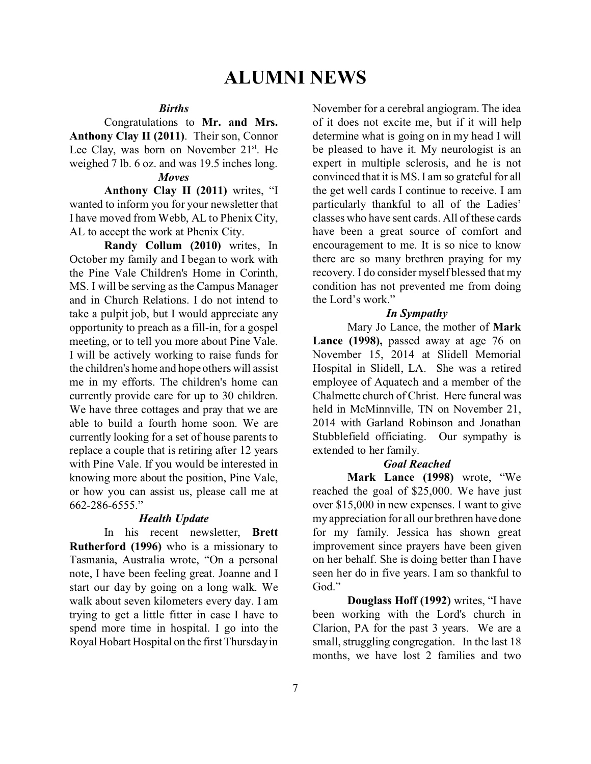#### *Births*

Congratulations to **Mr. and Mrs. Anthony Clay II (2011)**. Their son, Connor Lee Clay, was born on November  $21^{st}$ . He weighed 7 lb. 6 oz. and was 19.5 inches long.

### *Moves*

**Anthony Clay II (2011)** writes, "I wanted to inform you for your newsletter that I have moved from Webb, AL to Phenix City, AL to accept the work at Phenix City.

**Randy Collum (2010)** writes, In October my family and I began to work with the Pine Vale Children's Home in Corinth, MS. I will be serving as the Campus Manager and in Church Relations. I do not intend to take a pulpit job, but I would appreciate any opportunity to preach as a fill-in, for a gospel meeting, or to tell you more about Pine Vale. I will be actively working to raise funds for the children's home and hope others will assist me in my efforts. The children's home can currently provide care for up to 30 children. We have three cottages and pray that we are able to build a fourth home soon. We are currently looking for a set of house parents to replace a couple that is retiring after 12 years with Pine Vale. If you would be interested in knowing more about the position, Pine Vale, or how you can assist us, please call me at 662-286-6555."

#### *Health Update*

In his recent newsletter, **Brett Rutherford (1996)** who is a missionary to Tasmania, Australia wrote, "On a personal note, I have been feeling great. Joanne and I start our day by going on a long walk. We walk about seven kilometers every day. I am trying to get a little fitter in case I have to spend more time in hospital. I go into the Royal Hobart Hospital on the first Thursday in November for a cerebral angiogram. The idea of it does not excite me, but if it will help determine what is going on in my head I will be pleased to have it. My neurologist is an expert in multiple sclerosis, and he is not convinced that it is MS. I am so grateful for all the get well cards I continue to receive. I am particularly thankful to all of the Ladies' classes who have sent cards. All of these cards have been a great source of comfort and encouragement to me. It is so nice to know there are so many brethren praying for my recovery. I do consider myself blessed that my condition has not prevented me from doing the Lord's work."

#### *In Sympathy*

Mary Jo Lance, the mother of **Mark Lance (1998),** passed away at age 76 on November 15, 2014 at Slidell Memorial Hospital in Slidell, LA. She was a retired employee of Aquatech and a member of the Chalmette church of Christ. Here funeral was held in McMinnville, TN on November 21, 2014 with Garland Robinson and Jonathan Stubblefield officiating. Our sympathy is extended to her family.

### *Goal Reached*

**Mark Lance (1998)** wrote, "We reached the goal of \$25,000. We have just over \$15,000 in new expenses. I want to give my appreciation for all our brethren have done for my family. Jessica has shown great improvement since prayers have been given on her behalf. She is doing better than I have seen her do in five years. I am so thankful to God."

**Douglass Hoff (1992)** writes, "I have been working with the Lord's church in Clarion, PA for the past 3 years. We are a small, struggling congregation. In the last 18 months, we have lost 2 families and two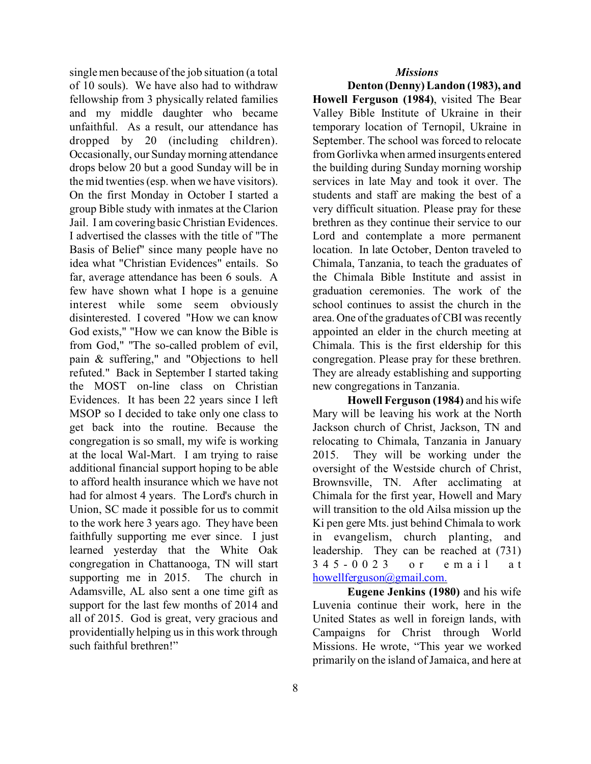*Missions*

single men because of the job situation (a total of 10 souls). We have also had to withdraw fellowship from 3 physically related families and my middle daughter who became unfaithful. As a result, our attendance has dropped by 20 (including children). Occasionally, our Sunday morning attendance drops below 20 but a good Sunday will be in the mid twenties (esp. when we have visitors). On the first Monday in October I started a group Bible study with inmates at the Clarion Jail. I am covering basic Christian Evidences. I advertised the classes with the title of "The Basis of Belief" since many people have no idea what "Christian Evidences" entails. So far, average attendance has been 6 souls. A few have shown what I hope is a genuine interest while some seem obviously disinterested. I covered "How we can know God exists," "How we can know the Bible is from God," "The so-called problem of evil, pain & suffering," and "Objections to hell refuted." Back in September I started taking the MOST on-line class on Christian Evidences. It has been 22 years since I left MSOP so I decided to take only one class to get back into the routine. Because the congregation is so small, my wife is working at the local Wal-Mart. I am trying to raise additional financial support hoping to be able to afford health insurance which we have not had for almost 4 years. The Lord's church in Union, SC made it possible for us to commit to the work here 3 years ago. They have been faithfully supporting me ever since. I just learned yesterday that the White Oak congregation in Chattanooga, TN will start supporting me in 2015. The church in Adamsville, AL also sent a one time gift as support for the last few months of 2014 and all of 2015. God is great, very gracious and providentially helping us in this work through such faithful brethren!"

**Denton (Denny) Landon (1983), and Howell Ferguson (1984)**, visited The Bear Valley Bible Institute of Ukraine in their temporary location of Ternopil, Ukraine in September. The school was forced to relocate from Gorlivka when armed insurgents entered the building during Sunday morning worship services in late May and took it over. The students and staff are making the best of a very difficult situation. Please pray for these brethren as they continue their service to our Lord and contemplate a more permanent location. In late October, Denton traveled to Chimala, Tanzania, to teach the graduates of the Chimala Bible Institute and assist in graduation ceremonies. The work of the school continues to assist the church in the area. One of the graduates of CBI was recently appointed an elder in the church meeting at Chimala. This is the first eldership for this congregation. Please pray for these brethren. They are already establishing and supporting new congregations in Tanzania.

**Howell Ferguson (1984)** and his wife Mary will be leaving his work at the North Jackson church of Christ, Jackson, TN and relocating to Chimala, Tanzania in January 2015. They will be working under the oversight of the Westside church of Christ, Brownsville, TN. After acclimating at Chimala for the first year, Howell and Mary will transition to the old Ailsa mission up the Ki pen gere Mts. just behind Chimala to work in evangelism, church planting, and leadership. They can be reached at (731) 345-0 0 2 3 or email a t [howellferguson@gmail.com.](mailto:howellferguson@gmail.com.)

**Eugene Jenkins (1980)** and his wife Luvenia continue their work, here in the United States as well in foreign lands, with Campaigns for Christ through World Missions. He wrote, "This year we worked primarily on the island of Jamaica, and here at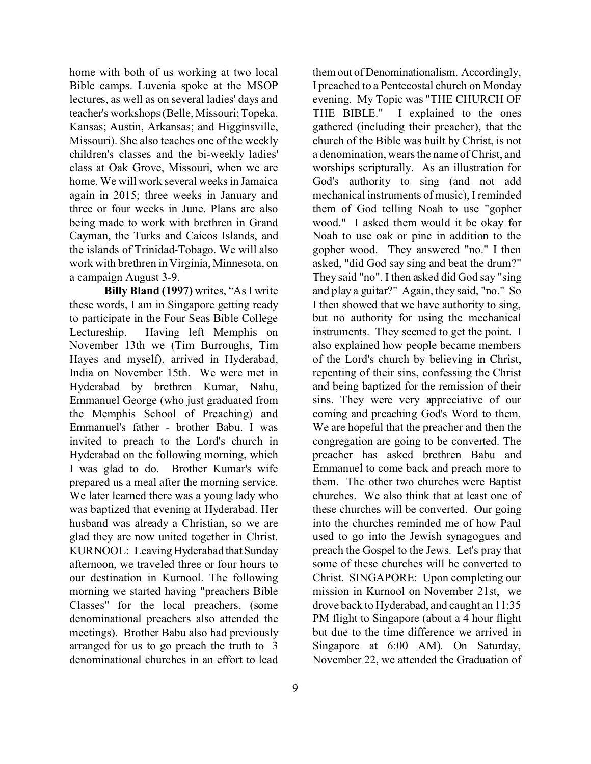home with both of us working at two local Bible camps. Luvenia spoke at the MSOP lectures, as well as on several ladies' days and teacher's workshops (Belle, Missouri;Topeka, Kansas; Austin, Arkansas; and Higginsville, Missouri). She also teaches one of the weekly children's classes and the bi-weekly ladies' class at Oak Grove, Missouri, when we are home. We will work several weeks in Jamaica again in 2015; three weeks in January and three or four weeks in June. Plans are also being made to work with brethren in Grand Cayman, the Turks and Caicos Islands, and the islands of Trinidad-Tobago. We will also work with brethren in Virginia, Minnesota, on a campaign August 3-9.

**Billy Bland (1997)** writes, "As I write these words, I am in Singapore getting ready to participate in the Four Seas Bible College Lectureship. Having left Memphis on November 13th we (Tim Burroughs, Tim Hayes and myself), arrived in Hyderabad, India on November 15th. We were met in Hyderabad by brethren Kumar, Nahu, Emmanuel George (who just graduated from the Memphis School of Preaching) and Emmanuel's father - brother Babu. I was invited to preach to the Lord's church in Hyderabad on the following morning, which I was glad to do. Brother Kumar's wife prepared us a meal after the morning service. We later learned there was a young lady who was baptized that evening at Hyderabad. Her husband was already a Christian, so we are glad they are now united together in Christ. KURNOOL: Leaving Hyderabad that Sunday afternoon, we traveled three or four hours to our destination in Kurnool. The following morning we started having "preachers Bible Classes" for the local preachers, (some denominational preachers also attended the meetings). Brother Babu also had previously arranged for us to go preach the truth to 3 denominational churches in an effort to lead

them out of Denominationalism. Accordingly, I preached to a Pentecostal church on Monday evening. My Topic was "THE CHURCH OF THE BIBLE." I explained to the ones gathered (including their preacher), that the church of the Bible was built by Christ, is not a denomination, wears the name of Christ, and worships scripturally. As an illustration for God's authority to sing (and not add mechanical instruments of music), I reminded them of God telling Noah to use "gopher wood." I asked them would it be okay for Noah to use oak or pine in addition to the gopher wood. They answered "no." I then asked, "did God say sing and beat the drum?" They said "no". I then asked did God say "sing and play a guitar?" Again, they said, "no." So I then showed that we have authority to sing, but no authority for using the mechanical instruments. They seemed to get the point. I also explained how people became members of the Lord's church by believing in Christ, repenting of their sins, confessing the Christ and being baptized for the remission of their sins. They were very appreciative of our coming and preaching God's Word to them. We are hopeful that the preacher and then the congregation are going to be converted. The preacher has asked brethren Babu and Emmanuel to come back and preach more to them. The other two churches were Baptist churches. We also think that at least one of these churches will be converted. Our going into the churches reminded me of how Paul used to go into the Jewish synagogues and preach the Gospel to the Jews. Let's pray that some of these churches will be converted to Christ. SINGAPORE: Upon completing our mission in Kurnool on November 21st, we drove back to Hyderabad, and caught an 11:35 PM flight to Singapore (about a 4 hour flight but due to the time difference we arrived in Singapore at 6:00 AM). On Saturday, November 22, we attended the Graduation of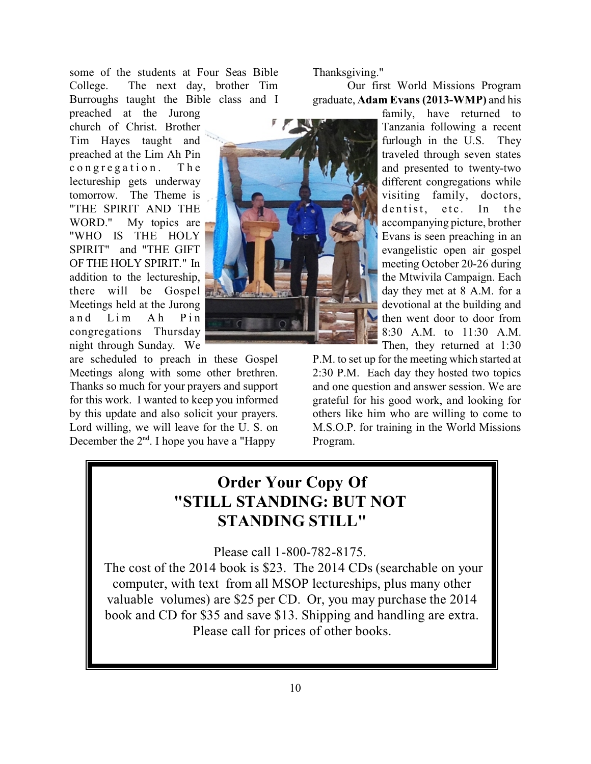some of the students at Four Seas Bible College. The next day, brother Tim Burroughs taught the Bible class and I

preached at the Jurong church of Christ. Brother Tim Hayes taught and preached at the Lim Ah Pin congregation. The lectureship gets underway tomorrow. The Theme is "THE SPIRIT AND THE WORD." My topics are "WHO IS THE HOLY SPIRIT" and "THE GIFT OF THE HOLY SPIRIT." In addition to the lectureship, there will be Gospel Meetings held at the Jurong and Lim Ah Pin congregations Thursday night through Sunday. We

are scheduled to preach in these Gospel Meetings along with some other brethren. Thanks so much for your prayers and support for this work. I wanted to keep you informed by this update and also solicit your prayers. Lord willing, we will leave for the U. S. on December the  $2<sup>nd</sup>$ . I hope you have a "Happy"

Thanksgiving."

Our first World Missions Program graduate, **Adam Evans (2013-WMP)** and his

> family, have returned to Tanzania following a recent furlough in the U.S. They traveled through seven states and presented to twenty-two different congregations while visiting family, doctors, dentist, etc. In the accompanying picture, brother Evans is seen preaching in an evangelistic open air gospel meeting October 20-26 during the Mtwivila Campaign. Each day they met at 8 A.M. for a devotional at the building and then went door to door from 8:30 A.M. to 11:30 A.M. Then, they returned at 1:30

P.M. to set up for the meeting which started at 2:30 P.M. Each day they hosted two topics and one question and answer session. We are grateful for his good work, and looking for others like him who are willing to come to M.S.O.P. for training in the World Missions Program.

### **Order Your Copy Of "STILL STANDING: BUT NOT STANDING STILL"**

Please call 1-800-782-8175.

The cost of the 2014 book is \$23. The 2014 CDs (searchable on your computer, with text from all MSOP lectureships, plus many other valuable volumes) are \$25 per CD. Or, you may purchase the 2014 book and CD for \$35 and save \$13. Shipping and handling are extra. Please call for prices of other books.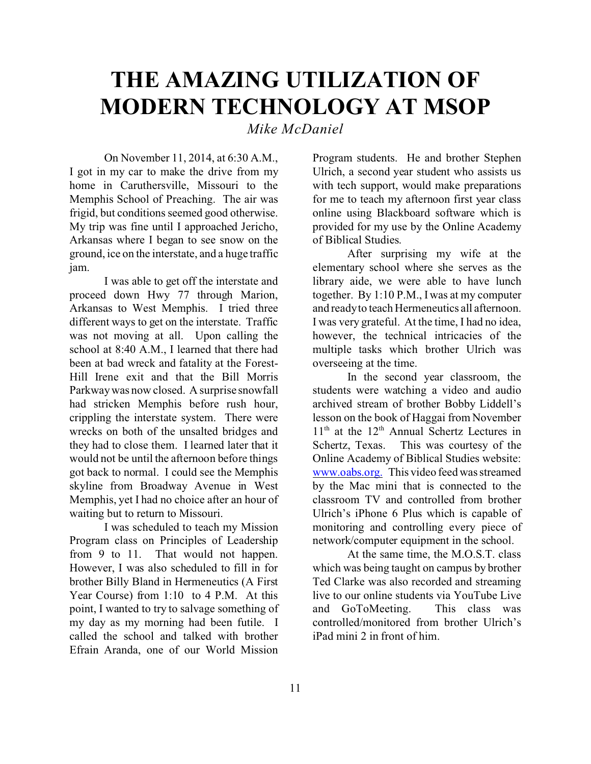# **THE AMAZING UTILIZATION OF MODERN TECHNOLOGY AT MSOP**

*Mike McDaniel*

On November 11, 2014, at 6:30 A.M., I got in my car to make the drive from my home in Caruthersville, Missouri to the Memphis School of Preaching. The air was frigid, but conditions seemed good otherwise. My trip was fine until I approached Jericho, Arkansas where I began to see snow on the ground, ice on the interstate, and a huge traffic jam.

I was able to get off the interstate and proceed down Hwy 77 through Marion, Arkansas to West Memphis. I tried three different ways to get on the interstate. Traffic was not moving at all. Upon calling the school at 8:40 A.M., I learned that there had been at bad wreck and fatality at the Forest-Hill Irene exit and that the Bill Morris Parkway was now closed. A surprise snowfall had stricken Memphis before rush hour, crippling the interstate system. There were wrecks on both of the unsalted bridges and they had to close them. I learned later that it would not be until the afternoon before things got back to normal. I could see the Memphis skyline from Broadway Avenue in West Memphis, yet I had no choice after an hour of waiting but to return to Missouri.

I was scheduled to teach my Mission Program class on Principles of Leadership from 9 to 11. That would not happen. However, I was also scheduled to fill in for brother Billy Bland in Hermeneutics (A First Year Course) from 1:10 to 4 P.M. At this point, I wanted to try to salvage something of my day as my morning had been futile. I called the school and talked with brother Efrain Aranda, one of our World Mission Program students. He and brother Stephen Ulrich, a second year student who assists us with tech support, would make preparations for me to teach my afternoon first year class online using Blackboard software which is provided for my use by the Online Academy of Biblical Studies.

After surprising my wife at the elementary school where she serves as the library aide, we were able to have lunch together. By 1:10 P.M., I was at my computer and ready to teach Hermeneutics all afternoon. I was very grateful. At the time, I had no idea, however, the technical intricacies of the multiple tasks which brother Ulrich was overseeing at the time.

In the second year classroom, the students were watching a video and audio archived stream of brother Bobby Liddell's lesson on the book of Haggai from November  $11<sup>th</sup>$  at the  $12<sup>th</sup>$  Annual Schertz Lectures in Schertz, Texas. This was courtesy of the Online Academy of Biblical Studies website: [www.oabs.org.](http://www.oabs.org.) This video feed was streamed by the Mac mini that is connected to the classroom TV and controlled from brother Ulrich's iPhone 6 Plus which is capable of monitoring and controlling every piece of network/computer equipment in the school.

At the same time, the M.O.S.T. class which was being taught on campus by brother Ted Clarke was also recorded and streaming live to our online students via YouTube Live and GoToMeeting. This class was controlled/monitored from brother Ulrich's iPad mini 2 in front of him.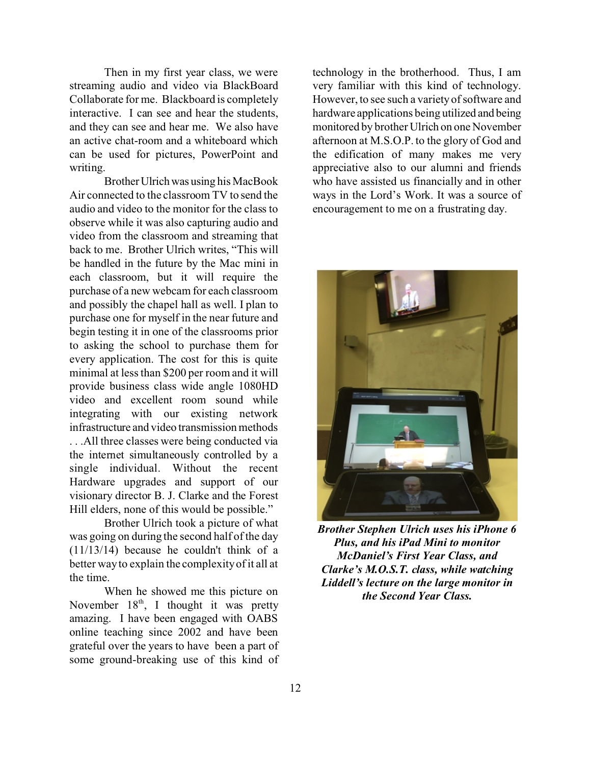Then in my first year class, we were streaming audio and video via BlackBoard Collaborate for me. Blackboard is completely interactive. I can see and hear the students, and they can see and hear me. We also have an active chat-room and a whiteboard which can be used for pictures, PowerPoint and writing.

Brother Ulrich was using his MacBook Air connected to the classroom TV to send the audio and video to the monitor for the class to observe while it was also capturing audio and video from the classroom and streaming that back to me. Brother Ulrich writes, "This will be handled in the future by the Mac mini in each classroom, but it will require the purchase of a new webcam for each classroom and possibly the chapel hall as well. I plan to purchase one for myself in the near future and begin testing it in one of the classrooms prior to asking the school to purchase them for every application. The cost for this is quite minimal at less than \$200 per room and it will provide business class wide angle 1080HD video and excellent room sound while integrating with our existing network infrastructure and video transmission methods . . .All three classes were being conducted via the internet simultaneously controlled by a single individual. Without the recent Hardware upgrades and support of our visionary director B. J. Clarke and the Forest Hill elders, none of this would be possible."

Brother Ulrich took a picture of what was going on during the second half of the day (11/13/14) because he couldn't think of a better way to explain the complexity of it all at the time.

When he showed me this picture on November 18<sup>th</sup>, I thought it was pretty amazing. I have been engaged with OABS online teaching since 2002 and have been grateful over the years to have been a part of some ground-breaking use of this kind of technology in the brotherhood. Thus, I am very familiar with this kind of technology. However, to see such a variety of software and hardware applications being utilized and being monitored by brother Ulrich on one November afternoon at M.S.O.P. to the glory of God and the edification of many makes me very appreciative also to our alumni and friends who have assisted us financially and in other ways in the Lord's Work. It was a source of encouragement to me on a frustrating day.



*Brother Stephen Ulrich uses his iPhone 6 Plus, and his iPad Mini to monitor McDaniel's First Year Class, and Clarke's M.O.S.T. class, while watching Liddell's lecture on the large monitor in the Second Year Class.*